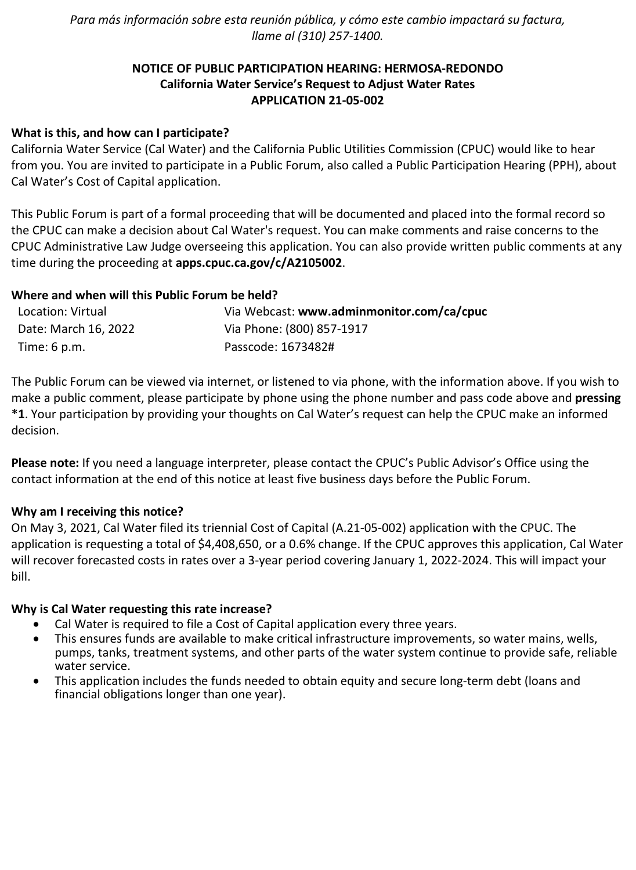*Para más información sobre esta reunión pública, y cómo este cambio impactará su factura, llame al (310) 257-1400.*

# **NOTICE OF PUBLIC PARTICIPATION HEARING: HERMOSA-REDONDO California Water Service's Request to Adjust Water Rates APPLICATION 21-05-002**

# **What is this, and how can I participate?**

California Water Service (Cal Water) and the California Public Utilities Commission (CPUC) would like to hear from you. You are invited to participate in a Public Forum, also called a Public Participation Hearing (PPH), about Cal Water's Cost of Capital application.

This Public Forum is part of a formal proceeding that will be documented and placed into the formal record so the CPUC can make a decision about Cal Water's request. You can make comments and raise concerns to the CPUC Administrative Law Judge overseeing this application. You can also provide written public comments at any time during the proceeding at **[apps.cpuc.ca.gov/c/A2105002](https://apps.cpuc.ca.gov/apex/f?p=401:65:0::NO:RP,57,RIR:P5_PROCEEDING_SELECT:A2105002)**.

## **Where and when will this Public Forum be held?**

| Location: Virtual      | Via Webcast: www.adminmonitor.com/ca/cpuc |
|------------------------|-------------------------------------------|
| Date: March 16, 2022   | Via Phone: (800) 857-1917                 |
| Time: $6 \text{ p.m.}$ | Passcode: 1673482#                        |

The Public Forum can be viewed via internet, or listened to via phone, with the information above. If you wish to make a public comment, please participate by phone using the phone number and pass code above and **pressing \*1**. Your participation by providing your thoughts on Cal Water's request can help the CPUC make an informed decision.

**Please note:** If you need a language interpreter, please contact the CPUC's Public Advisor's Office using the contact information at the end of this notice at least five business days before the Public Forum.

#### **Why am I receiving this notice?**

On May 3, 2021, Cal Water filed its triennial Cost of Capital (A.21-05-002) application with the CPUC. The application is requesting a total of \$4,408,650, or a 0.6% change. If the CPUC approves this application, Cal Water will recover forecasted costs in rates over a 3-year period covering January 1, 2022-2024. This will impact your bill.

#### **Why is Cal Water requesting this rate increase?**

- Cal Water is required to file a Cost of Capital application every three years.
- This ensures funds are available to make critical infrastructure improvements, so water mains, wells, pumps, tanks, treatment systems, and other parts of the water system continue to provide safe, reliable water service.
- This application includes the funds needed to obtain equity and secure long-term debt (loans and financial obligations longer than one year).